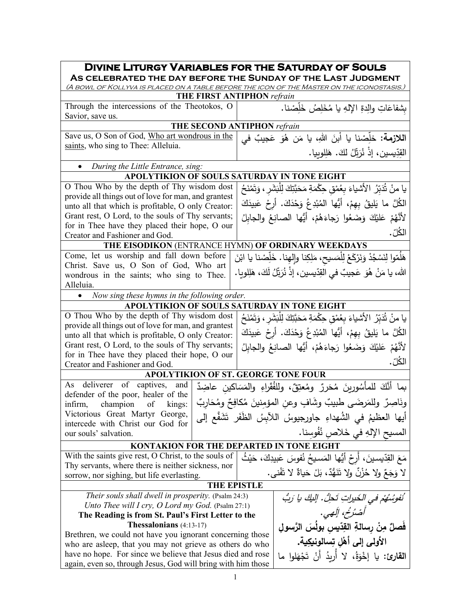| <b>DIVINE LITURGY VARIABLES FOR THE SATURDAY OF SOULS</b>                                                                |                                                                                  |  |  |
|--------------------------------------------------------------------------------------------------------------------------|----------------------------------------------------------------------------------|--|--|
| AS CELEBRATED THE DAY BEFORE THE SUNDAY OF THE LAST JUDGMENT                                                             |                                                                                  |  |  |
| (A BOWL OF KOLLYVA IS PLACED ON A TABLE BEFORE THE ICON OF THE MASTER ON THE ICONOSTASIS.)<br>THE FIRST ANTIPHON refrain |                                                                                  |  |  |
| Through the intercessions of the Theotokos, O                                                                            |                                                                                  |  |  |
| Savior, save us.                                                                                                         | بشفاعَاتِ والِدةِ الإِلهِ يا مُخَلِصُ خَلِصْنا.                                  |  |  |
| THE SECOND ANTIPHON refrain                                                                                              |                                                                                  |  |  |
| Save us, O Son of God, Who art wondrous in the                                                                           | ا <b>للازمة:</b> خلِّصْنا يا اْبنَ اللهِ، يا مَن هُوَ عَجيبٌ في                  |  |  |
| saints, who sing to Thee: Alleluia.                                                                                      |                                                                                  |  |  |
|                                                                                                                          | القِدِّيسين، إِذْ نُرَتِّلُ لَكَ. هَلِلوبِيا.                                    |  |  |
| During the Little Entrance, sing:                                                                                        |                                                                                  |  |  |
| APOLYTIKION OF SOULS SATURDAY IN TONE EIGHT                                                                              |                                                                                  |  |  |
| O Thou Who by the depth of Thy wisdom dost                                                                               | يا منْ ثَدَبّرُ الأشياءَ بعُمْقٍ حِكْمَةٍ مَحَبَّتِكَ لِلْبَشَرِ ، وَتَمْنَحُ    |  |  |
| provide all things out of love for man, and grantest                                                                     |                                                                                  |  |  |
| unto all that which is profitable, O only Creator:                                                                       | الكُلَّ ما يَليقُ بِهِمْ، أَيُّها المُبْدِعُ وَحْدَكَ. أَرِحْ عَبِيدَكَ          |  |  |
| Grant rest, O Lord, to the souls of Thy servants;                                                                        | لأَنَّهُمْ عَلَيْكَ وَضَعُوا رَجاءَهُمْ، أَيُّها الصانِعُ والجابِلُ              |  |  |
| for in Thee have they placed their hope, O our                                                                           | الكُلّ .                                                                         |  |  |
| Creator and Fashioner and God.                                                                                           |                                                                                  |  |  |
| THE EISODIKON (ENTRANCE HYMN) OF ORDINARY WEEKDAYS                                                                       |                                                                                  |  |  |
| Come, let us worship and fall down before<br>Christ. Save us, O Son of God, Who art                                      | هَلَمّوا لِنَسْجُدْ وَنَرْكَعْ لِلْمَسيح، مَلِكِنا وإِلْهِنا. خَلِّصْنا يا ابْنَ |  |  |
| wondrous in the saints; who sing to Thee.                                                                                | الله، يا مَنْ هُوَ عَجيبٌ في القِدّيسين، إذْ نُرَبِّلُ لَكَ، هَلِلويا.           |  |  |
| Alleluia.                                                                                                                |                                                                                  |  |  |
| Now sing these hymns in the following order.                                                                             |                                                                                  |  |  |
| APOLYTIKION OF SOULS SATURDAY IN TONE EIGHT                                                                              |                                                                                  |  |  |
| O Thou Who by the depth of Thy wisdom dost                                                                               | يا منْ ثَدَبّرُ الأشياءَ بعُمْقٍ حِكْمَةٍ مَحَبَّتِكَ لِلْبَشَرِ ، وَتَمْنَحُ    |  |  |
| provide all things out of love for man, and grantest                                                                     |                                                                                  |  |  |
| unto all that which is profitable, O only Creator:                                                                       | الكُلَّ ما يَليقُ بِهِمْ، أَيُّها المُبْدِعُ وَحْدَكَ. أَرِحْ عَبِيدَكَ          |  |  |
| Grant rest, O Lord, to the souls of Thy servants;<br>لأَنَّهُمْ عَلَيْكَ وَضَعُوا رَجاءَهُمْ، أَيُّها الصانِعُ والجابلُ  |                                                                                  |  |  |
| for in Thee have they placed their hope, O our                                                                           |                                                                                  |  |  |
| Creator and Fashioner and God.                                                                                           | الكُلّ .                                                                         |  |  |
| <b>APOLYTIKION OF ST. GEORGE TONE FOUR</b>                                                                               |                                                                                  |  |  |
| deliverer of captives,<br>and<br>As                                                                                      | بما أَنَّكَ للمأْسُورينَ مُحَرِرٌ ومُعتِقٌ، وللفُقَراءِ والمَسَاكين عاضِدٌ       |  |  |
| defender of the poor, healer of the                                                                                      |                                                                                  |  |  |
| infirm, champion of kings:                                                                                               | ونَاصِرٌ ولِلمَرضَى طبيبٌ وشَافٍ وعنِ المؤمِنينَ مُكافِحٌ ومُحَارِبٌ             |  |  |
| Victorious Great Martyr George,<br>أيها العظيمُ في الشُهداءِ جاورجيوسُ اللآبِسُ الظَفَرِ تَشَفَّع إلى                    |                                                                                  |  |  |
| intercede with Christ our God for                                                                                        |                                                                                  |  |  |
| المسيح الإلهِ في خَلاص نُفُوسنا.<br>our souls' salvation.                                                                |                                                                                  |  |  |
| <b>KONTAKION FOR THE DEPARTED IN TONE EIGHT</b>                                                                          |                                                                                  |  |  |
| With the saints give rest, O Christ, to the souls of                                                                     | مَعَ القِدّيسينَ، أَرِحْ أَيُّها المَسيحُ نُفوسَ عَبيدِكَ، حَيْثُ                |  |  |
| Thy servants, where there is neither sickness, nor                                                                       | لا وَجَعٌ ولا حُزْنٌ ولا تَنَهُّدٌ، بَلْ حَياةٌ لا تَفْني.                       |  |  |
| sorrow, nor sighing, but life everlasting.<br><b>THE EPISTLE</b>                                                         |                                                                                  |  |  |
| Their souls shall dwell in prosperity. (Psalm 24:3)                                                                      |                                                                                  |  |  |
| Unto Thee will I cry, O Lord my God. (Psalm 27:1)                                                                        | نَفُوشُهُمْ في الْخَيراتِ تَحِلُّ. إِلَيكَ يا رَبُّ                              |  |  |
| The Reading is from St. Paul's First Letter to the                                                                       | أَصْدُحُ، إِلَهِي.                                                               |  |  |
| <b>Thessalonians</b> $(4:13-17)$                                                                                         | فَصلٌ مِنْ رسالةِ القِدّيس بولُسَ الرَّسول                                       |  |  |
| Brethren, we could not have you ignorant concerning those                                                                |                                                                                  |  |  |
| الأولى إلى أهْل تِسالونيكِية.<br>who are asleep, that you may not grieve as others do who                                |                                                                                  |  |  |
| have no hope. For since we believe that Jesus died and rose<br>ا <b>لقارئ:</b> يا إخْوَةُ، لا أربدُ أَنْ تَجْهَلوا ما    |                                                                                  |  |  |
| again, even so, through Jesus, God will bring with him those                                                             |                                                                                  |  |  |
| 1                                                                                                                        |                                                                                  |  |  |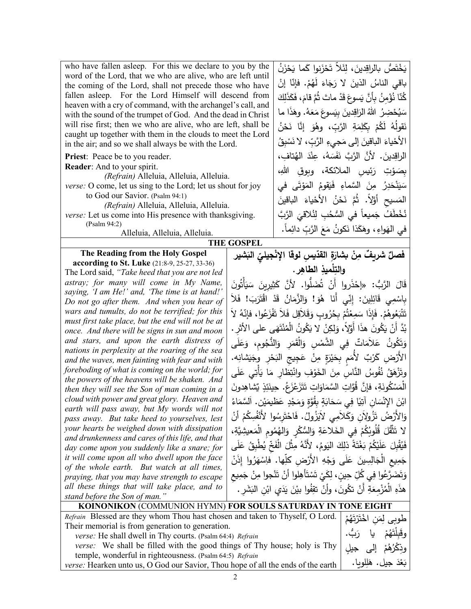| who have fallen asleep. For this we declare to you by the<br>word of the Lord, that we who are alive, who are left until<br>the coming of the Lord, shall not precede those who have<br>fallen asleep. For the Lord Himself will descend from<br>heaven with a cry of command, with the archangel's call, and<br>with the sound of the trumpet of God. And the dead in Christ<br>will rise first; then we who are alive, who are left, shall be<br>caught up together with them in the clouds to meet the Lord<br>in the air; and so we shall always be with the Lord.<br><b>Priest:</b> Peace be to you reader.<br>Reader: And to your spirit.<br>(Refrain) Alleluia, Alleluia, Alleluia.<br>verse: O come, let us sing to the Lord; let us shout for joy<br>to God our Savior. (Psalm 94:1)<br>(Refrain) Alleluia, Alleluia, Alleluia.<br>verse: Let us come into His presence with thanksgiving.<br>(Psalm 94:2)<br>Alleluia, Alleluia, Alleluia. |                                                                                                                                      | يَخْتَصُّ بِالراقِدينَ، لِئَلاَّ تَحْزَنوا كَما يَحْزَنُ<br>باقي الناسُ الذينَ لا رَجَاءَ لَهُمْ. فإنّا إنْ<br>كُنّا نُؤْمِنُ بِأَنَّ يَسوعَ قَدْ ماتَ ثُمَّ قامَ، فَكَذَلِكَ<br>سَيُحْضِرُ اللهُ الزَاقِدينَ بِيَسوعَ مَعَهُ. وهَذَا ما<br>نَقولَهُ لَكُمْ بِكَلِمَةِ الرَّبِّ، وهُوَ إنَّا نَحْنُ<br>الأَحْياءَ الباقينَ إلى مَجِيءِ الرَّبِّ، لا نَسْبِقُ<br>الراقِدينَ. لأَنَّ الرَّبَّ نَفَسَهُ، عِنْدَ الهُتافِ،<br>بصَوْتِ رَئِيسِ الملائكة، وبوقِ اللهِ،<br>سَيَنْحَدِرُ مِنَ السَّماءِ فَيَقومُ المَوْتَى في<br>المَسيح أَوَّلاً. ثُمَّ نَحْنُ الأَحْياءَ الباقينَ<br>نُخْطَفُ جَميعاً في السُّحُبِ لِنُلاقِيَ الرَّبَّ<br>في الهَواءِ ، وهَكَذا نَكونُ مَعَ الرَّبِّ دائِماً. |
|------------------------------------------------------------------------------------------------------------------------------------------------------------------------------------------------------------------------------------------------------------------------------------------------------------------------------------------------------------------------------------------------------------------------------------------------------------------------------------------------------------------------------------------------------------------------------------------------------------------------------------------------------------------------------------------------------------------------------------------------------------------------------------------------------------------------------------------------------------------------------------------------------------------------------------------------------|--------------------------------------------------------------------------------------------------------------------------------------|-----------------------------------------------------------------------------------------------------------------------------------------------------------------------------------------------------------------------------------------------------------------------------------------------------------------------------------------------------------------------------------------------------------------------------------------------------------------------------------------------------------------------------------------------------------------------------------------------------------------------------------------------------------------------------------------|
|                                                                                                                                                                                                                                                                                                                                                                                                                                                                                                                                                                                                                                                                                                                                                                                                                                                                                                                                                      | <b>THE GOSPEL</b>                                                                                                                    |                                                                                                                                                                                                                                                                                                                                                                                                                                                                                                                                                                                                                                                                                         |
| The Reading from the Holy Gospel                                                                                                                                                                                                                                                                                                                                                                                                                                                                                                                                                                                                                                                                                                                                                                                                                                                                                                                     |                                                                                                                                      | فصلٌ شريفٌ مِنْ بشارَةِ القدّيسِ لوقا الإِنْجِيليِّ البَشير                                                                                                                                                                                                                                                                                                                                                                                                                                                                                                                                                                                                                             |
| <b>according to St. Luke</b> (21:8-9, 25-27, 33-36)                                                                                                                                                                                                                                                                                                                                                                                                                                                                                                                                                                                                                                                                                                                                                                                                                                                                                                  |                                                                                                                                      |                                                                                                                                                                                                                                                                                                                                                                                                                                                                                                                                                                                                                                                                                         |
| The Lord said, "Take heed that you are not led                                                                                                                                                                                                                                                                                                                                                                                                                                                                                                                                                                                                                                                                                                                                                                                                                                                                                                       |                                                                                                                                      | والتِلْميذِ الطاهِرِ.                                                                                                                                                                                                                                                                                                                                                                                                                                                                                                                                                                                                                                                                   |
| astray; for many will come in My Name,                                                                                                                                                                                                                                                                                                                                                                                                                                                                                                                                                                                                                                                                                                                                                                                                                                                                                                               |                                                                                                                                      | قَالَ الرَّبُ: «إِحْذَروا أَنْ تُضَلُّوا. لأَنَّ كَثِيرِينَ سَيَأْتُونَ                                                                                                                                                                                                                                                                                                                                                                                                                                                                                                                                                                                                                 |
| saying, 'I am He!' and, 'The time is at hand!'                                                                                                                                                                                                                                                                                                                                                                                                                                                                                                                                                                                                                                                                                                                                                                                                                                                                                                       |                                                                                                                                      | بِاسْمِي قَائِلِينَ: إِنِّي أَنَا هُوَ! وَالزَّمَانُ قَدْ اقْتَرَبَ! فَلاَ                                                                                                                                                                                                                                                                                                                                                                                                                                                                                                                                                                                                              |
| Do not go after them. And when you hear of                                                                                                                                                                                                                                                                                                                                                                                                                                                                                                                                                                                                                                                                                                                                                                                                                                                                                                           |                                                                                                                                      |                                                                                                                                                                                                                                                                                                                                                                                                                                                                                                                                                                                                                                                                                         |
| wars and tumults, do not be terrified; for this                                                                                                                                                                                                                                                                                                                                                                                                                                                                                                                                                                                                                                                                                                                                                                                                                                                                                                      |                                                                                                                                      | تَتْبَعُوهُمْ. فَإِذَا سَمِعْتُمْ بِحُرُوبِ وَقَلاَقِل فَلاَ تَفْزَعُوا، فإنّهُ لاَ                                                                                                                                                                                                                                                                                                                                                                                                                                                                                                                                                                                                     |
| once. And there will be signs in sun and moon                                                                                                                                                                                                                                                                                                                                                                                                                                                                                                                                                                                                                                                                                                                                                                                                                                                                                                        | must first take place, but the end will not be at<br>بُدَّ أَنْ يَكُونَ هذَا أَوَّلاً، وَلِكِنْ لا يَكُونُ الْمُنْتَهَى على الأَثر . |                                                                                                                                                                                                                                                                                                                                                                                                                                                                                                                                                                                                                                                                                         |
| and stars, and upon the earth distress of                                                                                                                                                                                                                                                                                                                                                                                                                                                                                                                                                                                                                                                                                                                                                                                                                                                                                                            |                                                                                                                                      | وَتَكُونُ عَلاَمَاتٌ فِي الشَّمْسِ وَالْقَمَرِ وَالنُّجُومِ، وَعَلَى                                                                                                                                                                                                                                                                                                                                                                                                                                                                                                                                                                                                                    |
| nations in perplexity at the roaring of the sea                                                                                                                                                                                                                                                                                                                                                                                                                                                                                                                                                                                                                                                                                                                                                                                                                                                                                                      |                                                                                                                                      | الأَرْضِ كَرْبٌ لأُمَم بِحَيْرَةٍ مِنْ عَجِيجٍ الْبَحْرِ ۚ وِجَيَشَانِه.                                                                                                                                                                                                                                                                                                                                                                                                                                                                                                                                                                                                                |
| and the waves, men fainting with fear and with                                                                                                                                                                                                                                                                                                                                                                                                                                                                                                                                                                                                                                                                                                                                                                                                                                                                                                       |                                                                                                                                      |                                                                                                                                                                                                                                                                                                                                                                                                                                                                                                                                                                                                                                                                                         |
| foreboding of what is coming on the world; for<br>وتَزْهَقُ نُفُوسُ النَّاسِ مِنَ الخَوْفِ وانْتِظارِ مَا يَأْتِي عَلَى<br>the powers of the heavens will be shaken. And                                                                                                                                                                                                                                                                                                                                                                                                                                                                                                                                                                                                                                                                                                                                                                             |                                                                                                                                      |                                                                                                                                                                                                                                                                                                                                                                                                                                                                                                                                                                                                                                                                                         |
| then they will see the Son of man coming in a                                                                                                                                                                                                                                                                                                                                                                                                                                                                                                                                                                                                                                                                                                                                                                                                                                                                                                        |                                                                                                                                      | الْمَسْكُونَةِ، فإنَّ قُوَّاتِ السَّمَاوَاتِ تَتَزَعْزَعُ. حِينَئِذٍ يُشاهِدونَ                                                                                                                                                                                                                                                                                                                                                                                                                                                                                                                                                                                                         |
| cloud with power and great glory. Heaven and                                                                                                                                                                                                                                                                                                                                                                                                                                                                                                                                                                                                                                                                                                                                                                                                                                                                                                         |                                                                                                                                      | ابْنَ الإِنْسَانِ آتِيًا فِي سَحَابَةٍ بِقُوَّةٍ وَمَجْدٍ عَظيمَيْن. اَلسَّمَاءُ                                                                                                                                                                                                                                                                                                                                                                                                                                                                                                                                                                                                        |
| earth will pass away, but My words will not                                                                                                                                                                                                                                                                                                                                                                                                                                                                                                                                                                                                                                                                                                                                                                                                                                                                                                          |                                                                                                                                      |                                                                                                                                                                                                                                                                                                                                                                                                                                                                                                                                                                                                                                                                                         |
| pass away. But take heed to yourselves, lest                                                                                                                                                                                                                                                                                                                                                                                                                                                                                                                                                                                                                                                                                                                                                                                                                                                                                                         |                                                                                                                                      | وَالأَرْضُ تَزُولاَنِ وَكَلاَمِي لاَيَزُولُ. فَاحْتَرِسُوا لأَنْفُسِكُمْ أَنْ                                                                                                                                                                                                                                                                                                                                                                                                                                                                                                                                                                                                           |
| your hearts be weighed down with dissipation<br>and drunkenness and cares of this life, and that                                                                                                                                                                                                                                                                                                                                                                                                                                                                                                                                                                                                                                                                                                                                                                                                                                                     |                                                                                                                                      | لا تَتَّقُلَ قُلُوبُكُمْ فِي الخَلاعَةِ وَالسُّكْرِ وَالهُمُومِ الْمَعِيشِيَّةِ،                                                                                                                                                                                                                                                                                                                                                                                                                                                                                                                                                                                                        |
| day come upon you suddenly like a snare; for                                                                                                                                                                                                                                                                                                                                                                                                                                                                                                                                                                                                                                                                                                                                                                                                                                                                                                         |                                                                                                                                      | فَيُقْبِلَ عَلَيْكُمْ بَغْتَةً ذَلِكَ اليَومُ، لأَنَّهُ مِثْلَ الْفَخِّ يُطْبِقُ عَلَى                                                                                                                                                                                                                                                                                                                                                                                                                                                                                                                                                                                                  |
| it will come upon all who dwell upon the face                                                                                                                                                                                                                                                                                                                                                                                                                                                                                                                                                                                                                                                                                                                                                                                                                                                                                                        | جَمِيعِ الْجَالِسِينَ عَلَى وَجْهِ الأَرْضِ كَلِّها. فاِسْهَرُوا إِذَنْ                                                              |                                                                                                                                                                                                                                                                                                                                                                                                                                                                                                                                                                                                                                                                                         |
| of the whole earth. But watch at all times,                                                                                                                                                                                                                                                                                                                                                                                                                                                                                                                                                                                                                                                                                                                                                                                                                                                                                                          |                                                                                                                                      |                                                                                                                                                                                                                                                                                                                                                                                                                                                                                                                                                                                                                                                                                         |
| praying, that you may have strength to escape                                                                                                                                                                                                                                                                                                                                                                                                                                                                                                                                                                                                                                                                                                                                                                                                                                                                                                        |                                                                                                                                      | وَتَضَرَّعُوا فِي كُلِّ حِينٍ، لِكَيْ تَسْتَأْهِلُوا أَنْ تَنْجُوا مِنْ جَمِيعِ                                                                                                                                                                                                                                                                                                                                                                                                                                                                                                                                                                                                         |
| all these things that will take place, and to                                                                                                                                                                                                                                                                                                                                                                                                                                                                                                                                                                                                                                                                                                                                                                                                                                                                                                        |                                                                                                                                      | هذَهِ الْمُزْمِعَةِ أَنْ تكُونَ، وأَنْ تقِفُوا بيْنَ يَدَيِ ابْنِ البَشَرِ .                                                                                                                                                                                                                                                                                                                                                                                                                                                                                                                                                                                                            |
| stand before the Son of man."<br>KOINONIKON (COMMUNION HYMN) FOR SOULS SATURDAY IN TONE EIGHT                                                                                                                                                                                                                                                                                                                                                                                                                                                                                                                                                                                                                                                                                                                                                                                                                                                        |                                                                                                                                      |                                                                                                                                                                                                                                                                                                                                                                                                                                                                                                                                                                                                                                                                                         |
| Refrain Blessed are they whom Thou hast chosen and taken to Thyself, O Lord.                                                                                                                                                                                                                                                                                                                                                                                                                                                                                                                                                                                                                                                                                                                                                                                                                                                                         |                                                                                                                                      |                                                                                                                                                                                                                                                                                                                                                                                                                                                                                                                                                                                                                                                                                         |
| لِمَنِ اخْتَرْتَهُمْ<br>Their memorial is from generation to generation.                                                                                                                                                                                                                                                                                                                                                                                                                                                                                                                                                                                                                                                                                                                                                                                                                                                                             |                                                                                                                                      |                                                                                                                                                                                                                                                                                                                                                                                                                                                                                                                                                                                                                                                                                         |
| verse: He shall dwell in Thy courts. (Psalm 64:4) Refrain                                                                                                                                                                                                                                                                                                                                                                                                                                                                                                                                                                                                                                                                                                                                                                                                                                                                                            |                                                                                                                                      |                                                                                                                                                                                                                                                                                                                                                                                                                                                                                                                                                                                                                                                                                         |

*verse:* We shall be filled with the good things of Thy house; holy is Thy temple, wonderful in righteousness. (Psalm 64:5) *Refrain verse:* Hearken unto us, O God our Savior, Thou hope of all the ends of the earth وذِكْرُهُ مْ إل*ى* جيلٍ ْ **∶** بَعْدَ جيل. هَلِل<u>وي</u>ا. ْ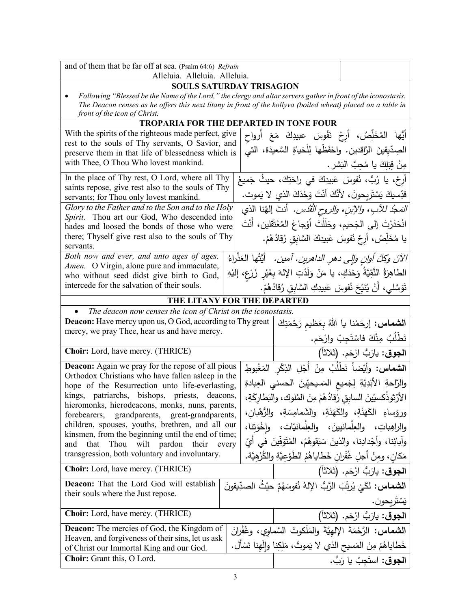| and of them that be far off at sea. (Psalm 64:6) Refrain                                                                                                                                                                                                     |  |                                                                                                                                |                                                                                                                                      |                                                                                 |
|--------------------------------------------------------------------------------------------------------------------------------------------------------------------------------------------------------------------------------------------------------------|--|--------------------------------------------------------------------------------------------------------------------------------|--------------------------------------------------------------------------------------------------------------------------------------|---------------------------------------------------------------------------------|
| Alleluia. Alleluia. Alleluia.<br><b>SOULS SATURDAY TRISAGION</b>                                                                                                                                                                                             |  |                                                                                                                                |                                                                                                                                      |                                                                                 |
| Following "Blessed be the Name of the Lord," the clergy and altar servers gather in front of the iconostasis.<br>The Deacon censes as he offers this next litany in front of the kollyva (boiled wheat) placed on a table in<br>front of the icon of Christ. |  |                                                                                                                                |                                                                                                                                      |                                                                                 |
| <b>TROPARIA FOR THE DEPARTED IN TONE FOUR</b>                                                                                                                                                                                                                |  |                                                                                                                                |                                                                                                                                      |                                                                                 |
| With the spirits of the righteous made perfect, give                                                                                                                                                                                                         |  |                                                                                                                                | أَيُّها المُخَلِّصُ، أَرِحْ نَفْوسَ عبيدِكَ مَعَ أَرواح                                                                              |                                                                                 |
| rest to the souls of Thy servants, O Savior, and                                                                                                                                                                                                             |  |                                                                                                                                | الصِدّيقينَ الرَّاقدين. واحْفَظْها لِلْحَياةِ السَّعيدَة، التي                                                                       |                                                                                 |
| preserve them in that life of blessedness which is<br>with Thee, O Thou Who lovest mankind.                                                                                                                                                                  |  | مِنْ قِبَلِكَ يا مُحِبَّ الْبَشرِ .                                                                                            |                                                                                                                                      |                                                                                 |
| In the place of Thy rest, O Lord, where all Thy                                                                                                                                                                                                              |  | أَرِحْ، يا رُبُّ، نُفوسَ عَبِيدِكَ في راحَتِكَ، حيثُ جَميعُ                                                                    |                                                                                                                                      |                                                                                 |
| saints repose, give rest also to the souls of Thy<br>servants; for Thou only lovest mankind.                                                                                                                                                                 |  | قدِّسيكَ يَسْتَرِيحونَ، لأَنَّكَ أَنْتَ وَحْدَكَ الذي لا يَموت.                                                                |                                                                                                                                      |                                                                                 |
| Glory to the Father and to the Son and to the Holy                                                                                                                                                                                                           |  |                                                                                                                                |                                                                                                                                      |                                                                                 |
| Spirit. Thou art our God, Who descended into                                                                                                                                                                                                                 |  | المَعجُد للآبِ، والإبنِ، والروح القُدْس. أنتَ إلهُنا الذي<br>انْحَدَرْتَ إلى الجَحيم، وحَلَلْتَ أَوْجاعَ المُعْتَقَلين، أَنْتَ |                                                                                                                                      |                                                                                 |
| hades and loosed the bonds of those who were<br>there; Thyself give rest also to the souls of Thy                                                                                                                                                            |  | يا مُخَلِّصُ، أَرِحْ نُفوسَ عَبِيدِكَ السَّابِقِ رُقادُهُمْ.                                                                   |                                                                                                                                      |                                                                                 |
| servants.                                                                                                                                                                                                                                                    |  |                                                                                                                                |                                                                                                                                      |                                                                                 |
| Both now and ever, and unto ages of ages.                                                                                                                                                                                                                    |  |                                                                                                                                |                                                                                                                                      | الآنَ وكلَّ أُولنِ وإلى دهرِ الداهرينِ. آمين .   أَيَّتُها العَذْراءُ           |
| Amen. O Virgin, alone pure and immaculate,<br>who without seed didst give birth to God,                                                                                                                                                                      |  |                                                                                                                                | الطاهِرَةُ النَّقِيَّةُ وَحْدَكِ، يا مَنْ وَلَدْتِ الإِلهَ بِغَيْرِ زَرْعٍ، إليْهِ                                                   |                                                                                 |
| intercede for the salvation of their souls.                                                                                                                                                                                                                  |  |                                                                                                                                | تَوَسَّلي، أَنْ يُنَيِّحَ نُفوسَ عَبيدِكِ السَّابِقِ رُقادُهُمْ.                                                                     |                                                                                 |
| THE LITANY FOR THE DEPARTED                                                                                                                                                                                                                                  |  |                                                                                                                                |                                                                                                                                      |                                                                                 |
| The deacon now censes the icon of Christ on the iconostasis.<br>$\bullet$                                                                                                                                                                                    |  |                                                                                                                                |                                                                                                                                      |                                                                                 |
| Deacon: Have mercy upon us, O God, according to Thy great                                                                                                                                                                                                    |  |                                                                                                                                | ا <b>لشماس:</b> إرحَمْنا يا اللهُ بِعَظيم رَحْمَتِكَ                                                                                 |                                                                                 |
| mercy, we pray Thee, hear us and have mercy.                                                                                                                                                                                                                 |  |                                                                                                                                |                                                                                                                                      |                                                                                 |
|                                                                                                                                                                                                                                                              |  |                                                                                                                                |                                                                                                                                      |                                                                                 |
| Choir: Lord, have mercy. (THRICE)                                                                                                                                                                                                                            |  |                                                                                                                                |                                                                                                                                      | نَطْلُبُ مِنْكَ فاسْتَجِبْ وارْحَم.<br>ا <b>لجوق</b> : يارَبُّ ارْحَم. (ثلاثاً) |
| <b>Deacon:</b> Again we pray for the repose of all pious                                                                                                                                                                                                     |  |                                                                                                                                | ا <b>لشماس:</b> وأيْضاً نَطْلُبُ مِنْ أَجْلِ الذِكْرِ المَغْبوطِ                                                                     |                                                                                 |
| Orthodox Christians who have fallen asleep in the                                                                                                                                                                                                            |  |                                                                                                                                |                                                                                                                                      |                                                                                 |
| hope of the Resurrection unto life-everlasting,<br>kings, patriarchs, bishops, priests,<br>deacons,                                                                                                                                                          |  |                                                                                                                                | والرَّاحةِ الأَبَدِيَّةِ لِجَميعِ المَسيحيِّينَ الحسني العِبادةِ                                                                     |                                                                                 |
| hieromonks, hierodeacons, monks, nuns, parents,                                                                                                                                                                                                              |  |                                                                                                                                | الأَرْثِوذَكسيِّينَ السابِقِ رُقادُهُمْ مِنَ المُلوكِ، والنَطارِكَةِ،                                                                |                                                                                 |
| forebearers, grandparents, great-grandparents,<br>children, spouses, youths, brethren, and all our                                                                                                                                                           |  |                                                                                                                                | ورؤساءِ الكَهَنَةِ، والكَهَنَةِ، والشَمامِسَةِ، والرُّهْبانِ،<br>والراهِباتِ، والعِلْمانيينَ، والعِلْمانيّات، واخْوَتنا،             |                                                                                 |
| kinsmen, from the beginning until the end of time;                                                                                                                                                                                                           |  |                                                                                                                                |                                                                                                                                      |                                                                                 |
| Thou wilt pardon their every<br>that<br>and<br>transgression, both voluntary and involuntary.                                                                                                                                                                |  |                                                                                                                                | وآبائِنا، وأَجْدادِنا، والذينَ سَبَقوهُمْ، المُتَوَفِّينَ في أَيِّ<br>مَكان، ومنْ أجلِ غُفْران خَطاياهُمُ الطَوْعيَّةِ والكُرْهيَّة. |                                                                                 |
| <b>Choir:</b> Lord, have mercy. (THRICE)                                                                                                                                                                                                                     |  |                                                                                                                                |                                                                                                                                      | ا <b>لجوق</b> : يارَبُّ ارْحَم. (ثلاثاً)                                        |
| Deacon: That the Lord God will establish                                                                                                                                                                                                                     |  |                                                                                                                                | ا <b>لشماس:</b> لكَيْ يُرتِّبَ الرَّبُّ الإِلهُ نُفوسَهُمْ حيْثُ الصدِّيقونَ                                                         |                                                                                 |
| their souls where the Just repose.                                                                                                                                                                                                                           |  |                                                                                                                                |                                                                                                                                      |                                                                                 |
| Choir: Lord, have mercy. (THRICE)                                                                                                                                                                                                                            |  |                                                                                                                                |                                                                                                                                      | الجوق: يارَبُّ ارْحَم. (ثلاثاً)                                                 |
| <b>Deacon:</b> The mercies of God, the Kingdom of                                                                                                                                                                                                            |  |                                                                                                                                | ا <b>لشماس:</b> الرَّحْمَةَ الإلهيَّةَ والمَلَكوتَ السَّماوي، وغُفْرانَ                                                              |                                                                                 |
| Heaven, and forgiveness of their sins, let us ask                                                                                                                                                                                                            |  |                                                                                                                                |                                                                                                                                      |                                                                                 |
| of Christ our Immortal King and our God.<br><b>Choir:</b> Grant this, O Lord.                                                                                                                                                                                |  |                                                                                                                                | خَطاياهُمْ مِنَ المَسيحِ الذي لا يَموتُ، مَلِكِنا والَهنا نَسْأَل.                                                                   | يَسْتَريحون.<br>ا <b>لجوق</b> : استَجِبْ يا رَبُّ.                              |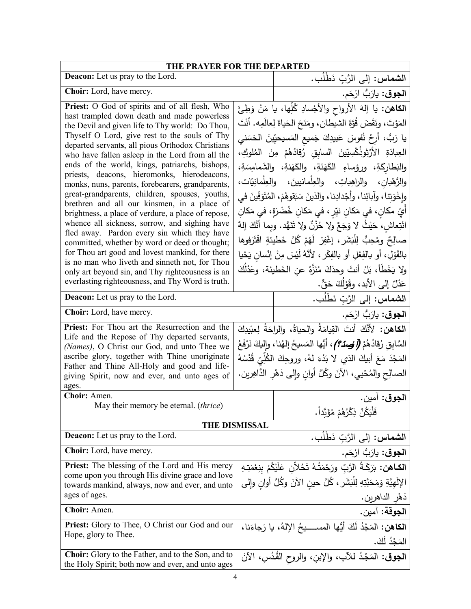| THE PRAYER FOR THE DEPARTED                                                                                                                                                                                                                                                                                                                                                                                                                                                                                                                                                                                                                                                                                                                                                                                                                                                                                                                                                          |                      |                                                                                                                                                                                                                                                                                                                                                                                                                                                                                                                                                                                                                                                                                                                                                                                                                                                                                                                        |  |
|--------------------------------------------------------------------------------------------------------------------------------------------------------------------------------------------------------------------------------------------------------------------------------------------------------------------------------------------------------------------------------------------------------------------------------------------------------------------------------------------------------------------------------------------------------------------------------------------------------------------------------------------------------------------------------------------------------------------------------------------------------------------------------------------------------------------------------------------------------------------------------------------------------------------------------------------------------------------------------------|----------------------|------------------------------------------------------------------------------------------------------------------------------------------------------------------------------------------------------------------------------------------------------------------------------------------------------------------------------------------------------------------------------------------------------------------------------------------------------------------------------------------------------------------------------------------------------------------------------------------------------------------------------------------------------------------------------------------------------------------------------------------------------------------------------------------------------------------------------------------------------------------------------------------------------------------------|--|
| Deacon: Let us pray to the Lord.                                                                                                                                                                                                                                                                                                                                                                                                                                                                                                                                                                                                                                                                                                                                                                                                                                                                                                                                                     |                      | ا <b>لشماس:</b> إلى الرَّبِّ نَطْلُب.                                                                                                                                                                                                                                                                                                                                                                                                                                                                                                                                                                                                                                                                                                                                                                                                                                                                                  |  |
| Choir: Lord, have mercy.                                                                                                                                                                                                                                                                                                                                                                                                                                                                                                                                                                                                                                                                                                                                                                                                                                                                                                                                                             |                      | ا <b>لجوق</b> : يارَبُّ ارْحَم.                                                                                                                                                                                                                                                                                                                                                                                                                                                                                                                                                                                                                                                                                                                                                                                                                                                                                        |  |
| Priest: O God of spirits and of all flesh, Who<br>hast trampled down death and made powerless<br>the Devil and given life to Thy world: Do Thou,<br>Thyself O Lord, give rest to the souls of Thy<br>departed servants, all pious Orthodox Christians<br>who have fallen asleep in the Lord from all the<br>ends of the world, kings, patriarchs, bishops,<br>priests, deacons, hieromonks, hierodeacons,<br>monks, nuns, parents, forebearers, grandparents,<br>great-grandparents, children, spouses, youths,<br>brethren and all our kinsmen, in a place of<br>brightness, a place of verdure, a place of repose,<br>whence all sickness, sorrow, and sighing have<br>fled away. Pardon every sin which they have<br>committed, whether by word or deed or thought;<br>for Thou art good and lovest mankind, for there<br>is no man who liveth and sinneth not, for Thou<br>only art beyond sin, and Thy righteousness is an<br>everlasting righteousness, and Thy Word is truth. |                      | <b>الكاهن:</b> يا إلهَ الأرواح والأجْسادِ كُلِّها، يا مَنْ وَطِئَ<br>المَوْتَ، ونَقَضَ قُوَّةَ الشيطانِ، ومَنَحَ الحَياةَ لِعالَمِه. أَنْتَ<br>يا رَبُّ، أَرِحْ نُفوسَ عَبيدِكَ جَميع المَسيحيِّينَ الحَسَني<br>العِبادَةِ الأَرْثَوذُكْسِيّينَ السابِقِ رُقادُهُمْ مِنَ المُلوكِ،<br>والبَطَارِكَةِ، ورؤساءِ الكَهَنَةِ، والكَهَنةِ، والشَمامِسَةِ،<br>والرُّهْبان، والراهِباتِ، والعِلْمانيينَ، والعِلْمانِيّات،<br>وإِخْوَتِنا، وآبائِنا، وأَجْدادِنا، والذينَ سَبَقوهُمْ، المُتَوَفِّينَ في<br>أَيِّ مكانٍ، في مَكانِ نيِّرٍ ، في مَكانِ خُضْرَةٍ، في مَكانِ<br>انْتِعاشِ، حَيْثُ لا وَجَعٌ ولا حُزْنٌ ولا تَنَهُّد. وبِما أَنَّكَ إلهٌ<br>صالِحٌ ومُحِبٌّ لِلْبَشَرِ ، إغْفِرْ ۖ لَهُمْ كُلَّ خَطْيئَةٍ ۖ اقْتَرَفُوهَا ۖ<br>بالقَوْلِ، أو بالفِعْلِ أو بالفِكْرِ ، لأنَّهُ لَيْسَ مِنْ إِنْسانِ يَحْيا<br>ولا يَخْطَأُ، بَلْ أَنتَ وحدَكَ مُنَزَّةٌ عن الخَطيئة، وعَذْلُكَ<br>عَدْلٌ إلى الأبد، وقَوْلُكَ حَقٌّ. |  |
| <b>Deacon:</b> Let us pray to the Lord.                                                                                                                                                                                                                                                                                                                                                                                                                                                                                                                                                                                                                                                                                                                                                                                                                                                                                                                                              |                      | ال <b>شماس:</b> إلى الرَّبِّ نَطْلُب.                                                                                                                                                                                                                                                                                                                                                                                                                                                                                                                                                                                                                                                                                                                                                                                                                                                                                  |  |
| Choir: Lord, have mercy.                                                                                                                                                                                                                                                                                                                                                                                                                                                                                                                                                                                                                                                                                                                                                                                                                                                                                                                                                             |                      | ا <b>لجوق</b> : يارَبُّ ارْحَم.                                                                                                                                                                                                                                                                                                                                                                                                                                                                                                                                                                                                                                                                                                                                                                                                                                                                                        |  |
| Priest: For Thou art the Resurrection and the<br>Life and the Repose of Thy departed servants,<br>(Names), O Christ our God, and unto Thee we<br>ascribe glory, together with Thine unoriginate<br>Father and Thine All-Holy and good and life-<br>giving Spirit, now and ever, and unto ages of<br>ages.                                                                                                                                                                                                                                                                                                                                                                                                                                                                                                                                                                                                                                                                            |                      | الكاهن: لأنَّكَ أَنتَ القِيامَةُ والحياةُ، والراحَةُ لِعِبْيدِكَ<br>السَّابِقِ رُقادُهُمْ (أَوْصِدُمْ)، أَيُّها المَسيحُ إلهُنا، وإليكَ نَرْفَعُ<br>المَجْدَ مَعَ أَبِيكَ الذي لا بَدْءَ لهُ، وروحِكَ الكُلِّيِّ قُدْسُهُ<br>الصالِح والمُحْيي، الآنَ وكُلَّ أُوانِ وإِلى دَهْرِ الدَّاهِرين.                                                                                                                                                                                                                                                                                                                                                                                                                                                                                                                                                                                                                          |  |
| Choir: Amen.                                                                                                                                                                                                                                                                                                                                                                                                                                                                                                                                                                                                                                                                                                                                                                                                                                                                                                                                                                         |                      | ا <b>لجوق</b> : آمين.                                                                                                                                                                                                                                                                                                                                                                                                                                                                                                                                                                                                                                                                                                                                                                                                                                                                                                  |  |
| May their memory be eternal. (thrice)                                                                                                                                                                                                                                                                                                                                                                                                                                                                                                                                                                                                                                                                                                                                                                                                                                                                                                                                                |                      | فَلْيَكُنْ ذِكْرُهُمْ مُؤَبَّداً.                                                                                                                                                                                                                                                                                                                                                                                                                                                                                                                                                                                                                                                                                                                                                                                                                                                                                      |  |
|                                                                                                                                                                                                                                                                                                                                                                                                                                                                                                                                                                                                                                                                                                                                                                                                                                                                                                                                                                                      | <b>THE DISMISSAL</b> |                                                                                                                                                                                                                                                                                                                                                                                                                                                                                                                                                                                                                                                                                                                                                                                                                                                                                                                        |  |
| <b>Deacon:</b> Let us pray to the Lord.                                                                                                                                                                                                                                                                                                                                                                                                                                                                                                                                                                                                                                                                                                                                                                                                                                                                                                                                              |                      | ا <b>لشماس:</b> إلى الرَّبِّ نَطْلُب.                                                                                                                                                                                                                                                                                                                                                                                                                                                                                                                                                                                                                                                                                                                                                                                                                                                                                  |  |
| <b>Choir:</b> Lord, have mercy.                                                                                                                                                                                                                                                                                                                                                                                                                                                                                                                                                                                                                                                                                                                                                                                                                                                                                                                                                      |                      | ا <b>لجوق</b> : يارَبُّ ارْحَم.                                                                                                                                                                                                                                                                                                                                                                                                                                                                                                                                                                                                                                                                                                                                                                                                                                                                                        |  |
| <b>Priest:</b> The blessing of the Lord and His mercy<br>come upon you through His divine grace and love<br>towards mankind, always, now and ever, and unto<br>ages of ages.                                                                                                                                                                                                                                                                                                                                                                                                                                                                                                                                                                                                                                                                                                                                                                                                         |                      | <br>ا <b>لكـاهن:</b> بَرَكَـةُ الرَّبِّ ورَحْمَتُـهُ تَخُلاِّنِ عَلَيْكُمْ بِنِعْمَتِهِ<br>الإِلَهِيَّةِ وَمَحَبَّتِهِ لِلْبَشَرِ ، كُلَّ حين الآنَ وكُلَّ أُوانٍ وإِلَى<br>دَهْرِ الداهرين.                                                                                                                                                                                                                                                                                                                                                                                                                                                                                                                                                                                                                                                                                                                           |  |
| Choir: Amen.                                                                                                                                                                                                                                                                                                                                                                                                                                                                                                                                                                                                                                                                                                                                                                                                                                                                                                                                                                         |                      | ا <b>لجوقة:</b> آمين.                                                                                                                                                                                                                                                                                                                                                                                                                                                                                                                                                                                                                                                                                                                                                                                                                                                                                                  |  |
| Priest: Glory to Thee, O Christ our God and our<br>Hope, glory to Thee.                                                                                                                                                                                                                                                                                                                                                                                                                                                                                                                                                                                                                                                                                                                                                                                                                                                                                                              |                      | ا <b>لكاهن:</b> المَجْدُ لَكَ أَيُّها المســــيحُ الإِلهُ، يا رَجاءَنا،<br>المَجْدُ لَكَ.                                                                                                                                                                                                                                                                                                                                                                                                                                                                                                                                                                                                                                                                                                                                                                                                                              |  |
| Choir: Glory to the Father, and to the Son, and to<br>the Holy Spirit; both now and ever, and unto ages                                                                                                                                                                                                                                                                                                                                                                                                                                                                                                                                                                                                                                                                                                                                                                                                                                                                              |                      | ا <b>لجوق:</b> المَجْدُ للآبِ، والإبنِ، والروح القُدُسِ، الآنَ                                                                                                                                                                                                                                                                                                                                                                                                                                                                                                                                                                                                                                                                                                                                                                                                                                                         |  |